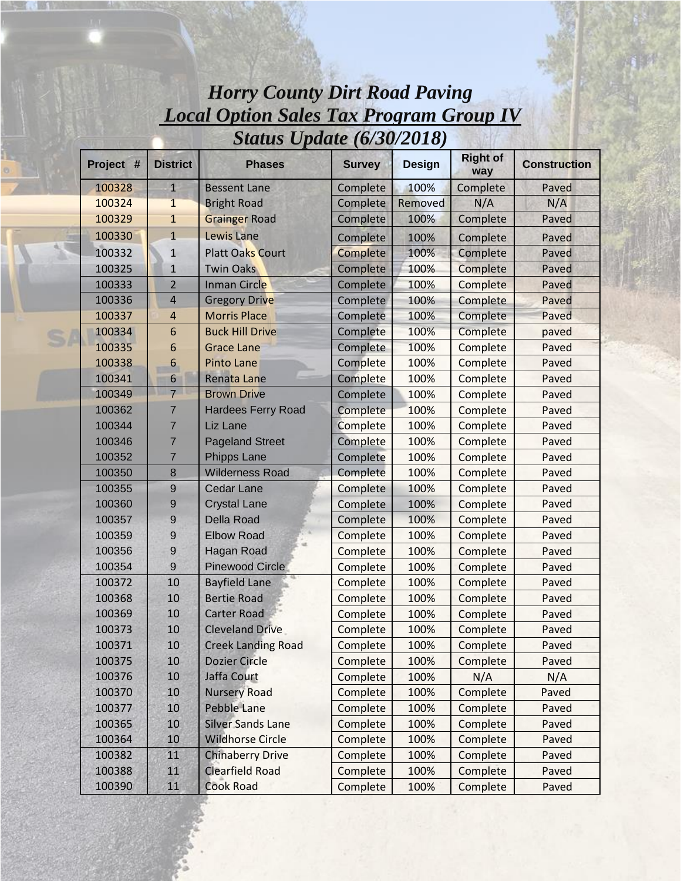| Locul Option buics Tux 110grum Oroup 17<br><b>Status Update (6/30/2018)</b> |                  |                           |               |               |                        |                     |  |  |  |  |
|-----------------------------------------------------------------------------|------------------|---------------------------|---------------|---------------|------------------------|---------------------|--|--|--|--|
| Project #                                                                   | <b>District</b>  | <b>Phases</b>             | <b>Survey</b> | <b>Design</b> | <b>Right of</b><br>way | <b>Construction</b> |  |  |  |  |
| 100328                                                                      | $\mathbf{1}$     | <b>Bessent Lane</b>       | Complete      | 100%          | Complete               | Paved               |  |  |  |  |
| 100324                                                                      | $\mathbf{1}$     | <b>Bright Road</b>        | Complete      | Removed       | N/A                    | N/A                 |  |  |  |  |
| 100329                                                                      | $\mathbf{1}$     | <b>Grainger Road</b>      | Complete      | 100%          | Complete               | Paved               |  |  |  |  |
| 100330                                                                      | $\mathbf{1}$     | <b>Lewis Lane</b>         | Complete      | 100%          | Complete               | Paved               |  |  |  |  |
| 100332                                                                      | $1\,$            | <b>Platt Oaks Court</b>   | Complete      | 100%          | Complete               | Paved               |  |  |  |  |
| 100325                                                                      | $\mathbf{1}$     | <b>Twin Oaks</b>          | Complete      | 100%          | Complete               | Paved               |  |  |  |  |
| 100333                                                                      | $\overline{2}$   | Inman Circle              | Complete      | 100%          | Complete               | Paved               |  |  |  |  |
| 100336                                                                      | $\overline{4}$   | <b>Gregory Drive</b>      | Complete      | 100%          | Complete               | Paved               |  |  |  |  |
| 100337                                                                      | $\overline{4}$   | <b>Morris Place</b>       | Complete      | 100%          | Complete               | Paved               |  |  |  |  |
| 100334                                                                      | $\boldsymbol{6}$ | <b>Buck Hill Drive</b>    | Complete      | 100%          | Complete               | paved               |  |  |  |  |
| 100335                                                                      | 6                | <b>Grace Lane</b>         | Complete      | 100%          | Complete               | Paved               |  |  |  |  |
| 100338                                                                      | 6                | <b>Pinto Lane</b>         | Complete      | 100%          | Complete               | Paved               |  |  |  |  |
| 100341                                                                      | 6                | <b>Renata Lane</b>        | Complete      | 100%          | Complete               | Paved               |  |  |  |  |
| 100349                                                                      | $\overline{7}$   | <b>Brown Drive</b>        | Complete      | 100%          | Complete               | Paved               |  |  |  |  |
| 100362                                                                      | 7                | <b>Hardees Ferry Road</b> | Complete      | 100%          | Complete               | Paved               |  |  |  |  |
| 100344                                                                      | $\overline{7}$   | Liz Lane                  | Complete      | 100%          | Complete               | Paved               |  |  |  |  |
| 100346                                                                      | $\overline{7}$   | <b>Pageland Street</b>    | Complete      | 100%          | Complete               | Paved               |  |  |  |  |
| 100352                                                                      | $\overline{7}$   | Phipps Lane               | Complete      | 100%          | Complete               | Paved               |  |  |  |  |
| 100350                                                                      | 8                | <b>Wilderness Road</b>    | Complete      | 100%          | Complete               | Paved               |  |  |  |  |
| 100355                                                                      | $\overline{9}$   | <b>Cedar Lane</b>         | Complete      | 100%          | Complete               | Paved               |  |  |  |  |
| 100360                                                                      | $\boldsymbol{9}$ | <b>Crystal Lane</b>       | Complete      | 100%          | Complete               | Paved               |  |  |  |  |
| 100357                                                                      | $\boldsymbol{9}$ | <b>Della Road</b>         | Complete      | 100%          | Complete               | Paved               |  |  |  |  |
| 100359                                                                      | $\boldsymbol{9}$ | <b>Elbow Road</b>         | Complete      | 100%          | Complete               | Paved               |  |  |  |  |
| 100356                                                                      | $\boldsymbol{9}$ | <b>Hagan Road</b>         | Complete      | 100%          | Complete               | Paved               |  |  |  |  |
| 100354                                                                      | 9                | <b>Pinewood Circle</b>    | Complete      | 100%          | Complete               | Paved               |  |  |  |  |
| 100372                                                                      | 10               | <b>Bayfield Lane</b>      | Complete      | 100%          | Complete               | Paved               |  |  |  |  |
| 100368                                                                      | 10               | <b>Bertie Road</b>        | Complete      | 100%          | Complete               | Paved               |  |  |  |  |
| 100369                                                                      | 10               | <b>Carter Road</b>        | Complete      | 100%          | Complete               | Paved               |  |  |  |  |
| 100373                                                                      | 10               | <b>Cleveland Drive</b>    | Complete      | 100%          | Complete               | Paved               |  |  |  |  |
| 100371                                                                      | $10\,$           | <b>Creek Landing Road</b> | Complete      | 100%          | Complete               | Paved               |  |  |  |  |
| 100375                                                                      | 10               | <b>Dozier Circle</b>      | Complete      | 100%          | Complete               | Paved               |  |  |  |  |
| 100376                                                                      | 10               | Jaffa Court               | Complete      | 100%          | N/A                    | N/A                 |  |  |  |  |
| 100370                                                                      | 10               | <b>Nursery Road</b>       | Complete      | 100%          | Complete               | Paved               |  |  |  |  |
| 100377                                                                      | 10               | Pebble Lane               | Complete      | 100%          | Complete               | Paved               |  |  |  |  |
| 100365                                                                      | 10               | <b>Silver Sands Lane</b>  | Complete      | 100%          | Complete               | Paved               |  |  |  |  |
| 100364                                                                      | 10               | <b>Wildhorse Circle</b>   | Complete      | 100%          | Complete               | Paved               |  |  |  |  |
| 100382                                                                      | 11               | <b>Chinaberry Drive</b>   | Complete      | 100%          | Complete               | Paved               |  |  |  |  |
| 100388                                                                      | 11               | <b>Clearfield Road</b>    | Complete      | 100%          | Complete               | Paved               |  |  |  |  |
| 100390                                                                      | 11               | <b>Cook Road</b>          | Complete      | 100%          | Complete               | Paved               |  |  |  |  |

 $S$ 

## *Horry County Dirt Road Paving Local Option Sales Tax Program Group IV*